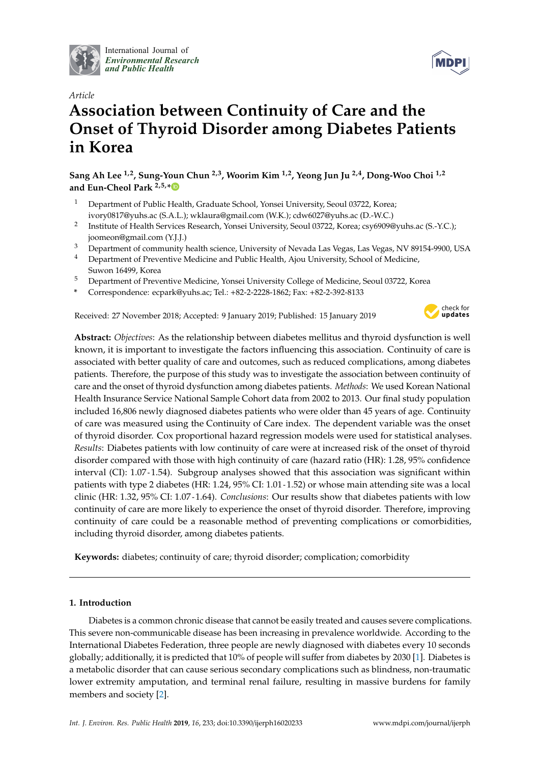

International Journal of *[Environmental Research](http://www.mdpi.com/journal/ijerph) and Public Health*



# *Article* **Association between Continuity of Care and the Onset of Thyroid Disorder among Diabetes Patients in Korea**

**Sang Ah Lee 1,2, Sung-Youn Chun 2,3, Woorim Kim 1,2, Yeong Jun Ju 2,4, Dong-Woo Choi 1,2 and Eun-Cheol Park 2,5,[\\*](https://orcid.org/0000-0002-2306-5398)**

- <sup>1</sup> Department of Public Health, Graduate School, Yonsei University, Seoul 03722, Korea; ivory0817@yuhs.ac (S.A.L.); wklaura@gmail.com (W.K.); cdw6027@yuhs.ac (D.-W.C.)
- 2 Institute of Health Services Research, Yonsei University, Seoul 03722, Korea; csy6909@yuhs.ac (S.-Y.C.); joomeon@gmail.com (Y.J.J.)
- <sup>3</sup> Department of community health science, University of Nevada Las Vegas, Las Vegas, NV 89154-9900, USA
- <sup>4</sup> Department of Preventive Medicine and Public Health, Ajou University, School of Medicine, Suwon 16499, Korea
- <sup>5</sup> Department of Preventive Medicine, Yonsei University College of Medicine, Seoul 03722, Korea
- **\*** Correspondence: ecpark@yuhs.ac; Tel.: +82-2-2228-1862; Fax: +82-2-392-8133

Received: 27 November 2018; Accepted: 9 January 2019; Published: 15 January 2019



**Abstract:** *Objectives*: As the relationship between diabetes mellitus and thyroid dysfunction is well known, it is important to investigate the factors influencing this association. Continuity of care is associated with better quality of care and outcomes, such as reduced complications, among diabetes patients. Therefore, the purpose of this study was to investigate the association between continuity of care and the onset of thyroid dysfunction among diabetes patients. *Methods*: We used Korean National Health Insurance Service National Sample Cohort data from 2002 to 2013. Our final study population included 16,806 newly diagnosed diabetes patients who were older than 45 years of age. Continuity of care was measured using the Continuity of Care index. The dependent variable was the onset of thyroid disorder. Cox proportional hazard regression models were used for statistical analyses. *Results*: Diabetes patients with low continuity of care were at increased risk of the onset of thyroid disorder compared with those with high continuity of care (hazard ratio (HR): 1.28, 95% confidence interval (CI): 1.07-1.54). Subgroup analyses showed that this association was significant within patients with type 2 diabetes (HR: 1.24, 95% CI: 1.01-1.52) or whose main attending site was a local clinic (HR: 1.32, 95% CI: 1.07-1.64). *Conclusions*: Our results show that diabetes patients with low continuity of care are more likely to experience the onset of thyroid disorder. Therefore, improving continuity of care could be a reasonable method of preventing complications or comorbidities, including thyroid disorder, among diabetes patients.

**Keywords:** diabetes; continuity of care; thyroid disorder; complication; comorbidity

## **1. Introduction**

Diabetes is a common chronic disease that cannot be easily treated and causes severe complications. This severe non-communicable disease has been increasing in prevalence worldwide. According to the International Diabetes Federation, three people are newly diagnosed with diabetes every 10 seconds globally; additionally, it is predicted that 10% of people will suffer from diabetes by 2030 [\[1\]](#page-6-0). Diabetes is a metabolic disorder that can cause serious secondary complications such as blindness, non-traumatic lower extremity amputation, and terminal renal failure, resulting in massive burdens for family members and society [\[2\]](#page-6-1).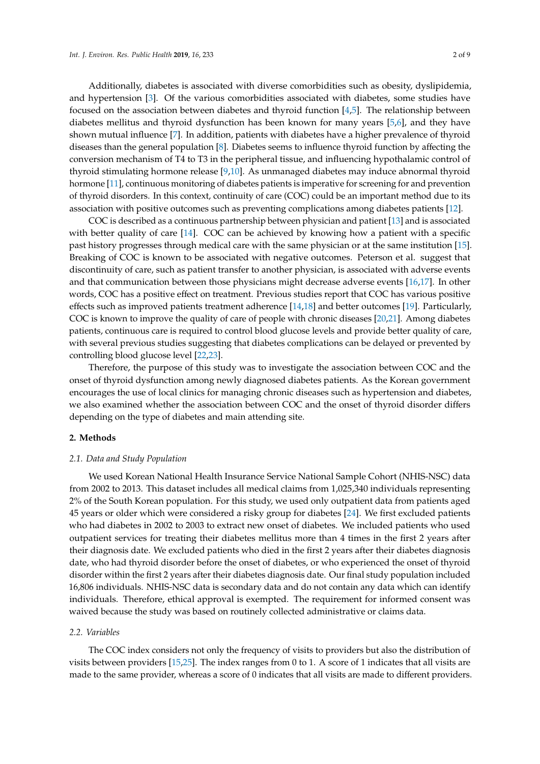Additionally, diabetes is associated with diverse comorbidities such as obesity, dyslipidemia, and hypertension [\[3\]](#page-6-2). Of the various comorbidities associated with diabetes, some studies have focused on the association between diabetes and thyroid function [\[4,](#page-6-3)[5\]](#page-6-4). The relationship between diabetes mellitus and thyroid dysfunction has been known for many years [\[5,](#page-6-4)[6\]](#page-6-5), and they have shown mutual influence [\[7\]](#page-7-0). In addition, patients with diabetes have a higher prevalence of thyroid diseases than the general population [\[8\]](#page-7-1). Diabetes seems to influence thyroid function by affecting the conversion mechanism of T4 to T3 in the peripheral tissue, and influencing hypothalamic control of thyroid stimulating hormone release [\[9](#page-7-2)[,10\]](#page-7-3). As unmanaged diabetes may induce abnormal thyroid hormone [\[11\]](#page-7-4), continuous monitoring of diabetes patients is imperative for screening for and prevention of thyroid disorders. In this context, continuity of care (COC) could be an important method due to its association with positive outcomes such as preventing complications among diabetes patients [\[12\]](#page-7-5).

COC is described as a continuous partnership between physician and patient [\[13\]](#page-7-6) and is associated with better quality of care [\[14\]](#page-7-7). COC can be achieved by knowing how a patient with a specific past history progresses through medical care with the same physician or at the same institution [\[15\]](#page-7-8). Breaking of COC is known to be associated with negative outcomes. Peterson et al. suggest that discontinuity of care, such as patient transfer to another physician, is associated with adverse events and that communication between those physicians might decrease adverse events [\[16](#page-7-9)[,17\]](#page-7-10). In other words, COC has a positive effect on treatment. Previous studies report that COC has various positive effects such as improved patients treatment adherence [\[14,](#page-7-7)[18\]](#page-7-11) and better outcomes [\[19\]](#page-7-12). Particularly, COC is known to improve the quality of care of people with chronic diseases [\[20,](#page-7-13)[21\]](#page-7-14). Among diabetes patients, continuous care is required to control blood glucose levels and provide better quality of care, with several previous studies suggesting that diabetes complications can be delayed or prevented by controlling blood glucose level [\[22,](#page-7-15)[23\]](#page-7-16).

Therefore, the purpose of this study was to investigate the association between COC and the onset of thyroid dysfunction among newly diagnosed diabetes patients. As the Korean government encourages the use of local clinics for managing chronic diseases such as hypertension and diabetes, we also examined whether the association between COC and the onset of thyroid disorder differs depending on the type of diabetes and main attending site.

#### **2. Methods**

#### *2.1. Data and Study Population*

We used Korean National Health Insurance Service National Sample Cohort (NHIS-NSC) data from 2002 to 2013. This dataset includes all medical claims from 1,025,340 individuals representing 2% of the South Korean population. For this study, we used only outpatient data from patients aged 45 years or older which were considered a risky group for diabetes [\[24\]](#page-7-17). We first excluded patients who had diabetes in 2002 to 2003 to extract new onset of diabetes. We included patients who used outpatient services for treating their diabetes mellitus more than 4 times in the first 2 years after their diagnosis date. We excluded patients who died in the first 2 years after their diabetes diagnosis date, who had thyroid disorder before the onset of diabetes, or who experienced the onset of thyroid disorder within the first 2 years after their diabetes diagnosis date. Our final study population included 16,806 individuals. NHIS-NSC data is secondary data and do not contain any data which can identify individuals. Therefore, ethical approval is exempted. The requirement for informed consent was waived because the study was based on routinely collected administrative or claims data.

# *2.2. Variables*

The COC index considers not only the frequency of visits to providers but also the distribution of visits between providers [\[15](#page-7-8)[,25\]](#page-7-18). The index ranges from 0 to 1. A score of 1 indicates that all visits are made to the same provider, whereas a score of 0 indicates that all visits are made to different providers.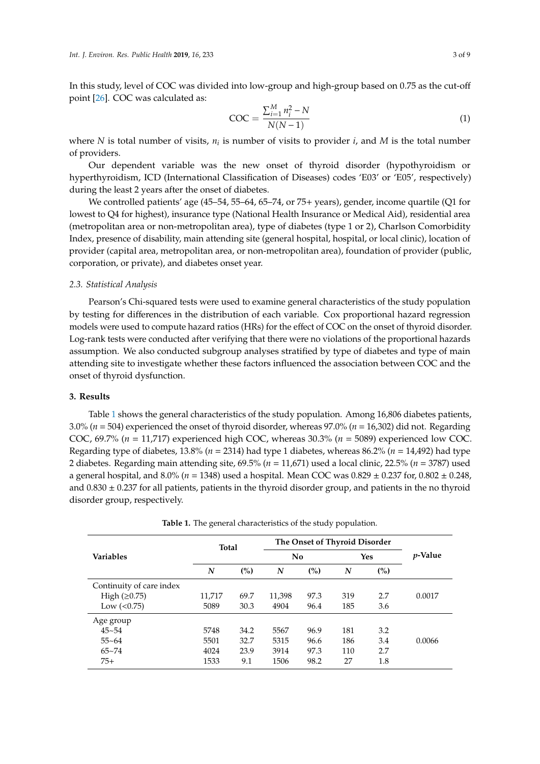In this study, level of COC was divided into low-group and high-group based on 0.75 as the cut-off point [\[26\]](#page-7-19). COC was calculated as:

$$
COC = \frac{\sum_{i=1}^{M} n_i^2 - N}{N(N-1)}
$$
 (1)

where *N* is total number of visits,  $n_i$  is number of visits to provider *i*, and *M* is the total number of providers.

Our dependent variable was the new onset of thyroid disorder (hypothyroidism or hyperthyroidism, ICD (International Classification of Diseases) codes 'E03' or 'E05', respectively) during the least 2 years after the onset of diabetes.

We controlled patients' age (45–54, 55–64, 65–74, or 75+ years), gender, income quartile (Q1 for lowest to Q4 for highest), insurance type (National Health Insurance or Medical Aid), residential area (metropolitan area or non-metropolitan area), type of diabetes (type 1 or 2), Charlson Comorbidity Index, presence of disability, main attending site (general hospital, hospital, or local clinic), location of provider (capital area, metropolitan area, or non-metropolitan area), foundation of provider (public, corporation, or private), and diabetes onset year.

#### *2.3. Statistical Analysis*

Pearson's Chi-squared tests were used to examine general characteristics of the study population by testing for differences in the distribution of each variable. Cox proportional hazard regression models were used to compute hazard ratios (HRs) for the effect of COC on the onset of thyroid disorder. Log-rank tests were conducted after verifying that there were no violations of the proportional hazards assumption. We also conducted subgroup analyses stratified by type of diabetes and type of main attending site to investigate whether these factors influenced the association between COC and the onset of thyroid dysfunction.

#### **3. Results**

Table [1](#page-3-0) shows the general characteristics of the study population. Among 16,806 diabetes patients, 3.0% (*n* = 504) experienced the onset of thyroid disorder, whereas 97.0% (*n* = 16,302) did not. Regarding COC, 69.7% (*n* = 11,717) experienced high COC, whereas 30.3% (*n* = 5089) experienced low COC. Regarding type of diabetes, 13.8% (*n* = 2314) had type 1 diabetes, whereas 86.2% (*n* = 14,492) had type 2 diabetes. Regarding main attending site, 69.5% (*n* = 11,671) used a local clinic, 22.5% (*n* = 3787) used a general hospital, and 8.0% (*n* = 1348) used a hospital. Mean COC was 0.829 ± 0.237 for, 0.802 ± 0.248, and  $0.830 \pm 0.237$  for all patients, patients in the thyroid disorder group, and patients in the no thyroid disorder group, respectively.

| <b>Variables</b>         | <b>Total</b> |      | The Onset of Thyroid Disorder |      |                  |     |                 |
|--------------------------|--------------|------|-------------------------------|------|------------------|-----|-----------------|
|                          |              |      | N <sub>0</sub>                |      | Yes              |     | <i>p</i> -Value |
|                          | N            | (%)  | $\boldsymbol{N}$              | (%)  | $\boldsymbol{N}$ | (%) |                 |
| Continuity of care index |              |      |                               |      |                  |     |                 |
| High $(\geq 0.75)$       | 11,717       | 69.7 | 11,398                        | 97.3 | 319              | 2.7 | 0.0017          |
| Low $(0.75)$             | 5089         | 30.3 | 4904                          | 96.4 | 185              | 3.6 |                 |
| Age group                |              |      |                               |      |                  |     |                 |
| $45 - 54$                | 5748         | 34.2 | 5567                          | 96.9 | 181              | 3.2 |                 |
| $55 - 64$                | 5501         | 32.7 | 5315                          | 96.6 | 186              | 3.4 | 0.0066          |
| $65 - 74$                | 4024         | 23.9 | 3914                          | 97.3 | 110              | 2.7 |                 |
| $75+$                    | 1533         | 9.1  | 1506                          | 98.2 | 27               | 1.8 |                 |

**Table 1.** The general characteristics of the study population.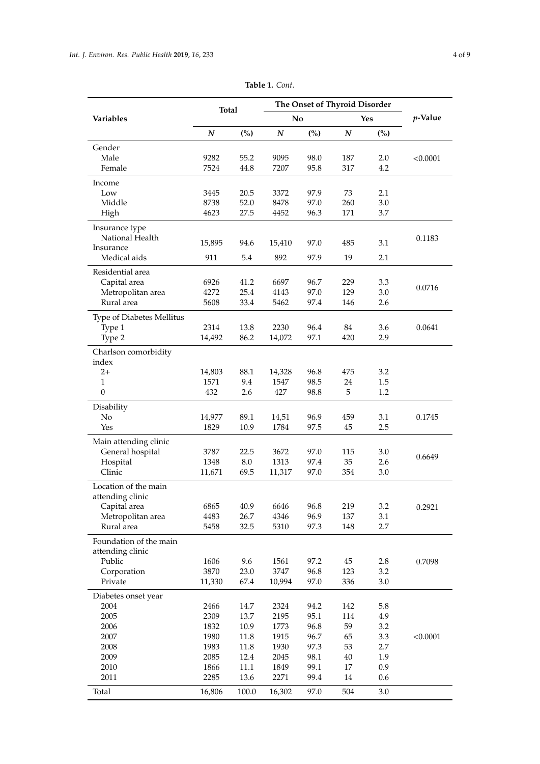<span id="page-3-0"></span>

|                                   | <b>Total</b>     |              | The Onset of Thyroid Disorder |              |                  |            |          |
|-----------------------------------|------------------|--------------|-------------------------------|--------------|------------------|------------|----------|
| <b>Variables</b>                  |                  |              | No                            |              | <b>Yes</b>       |            | p-Value  |
|                                   | $\boldsymbol{N}$ | (%)          | $\boldsymbol{N}$              | (%)          | $\boldsymbol{N}$ | (%)        |          |
| Gender                            |                  |              |                               |              |                  |            |          |
| Male                              | 9282             | 55.2         | 9095                          | 98.0         | 187              | 2.0        | < 0.0001 |
| Female                            | 7524             | 44.8         | 7207                          | 95.8         | 317              | 4.2        |          |
| Income                            |                  |              |                               |              |                  |            |          |
| Low<br>Middle                     | 3445<br>8738     | 20.5<br>52.0 | 3372                          | 97.9<br>97.0 | 73<br>260        | 2.1<br>3.0 |          |
| High                              | 4623             | 27.5         | 8478<br>4452                  | 96.3         | 171              | 3.7        |          |
|                                   |                  |              |                               |              |                  |            |          |
| Insurance type<br>National Health |                  |              |                               |              |                  |            | 0.1183   |
| Insurance                         | 15,895           | 94.6         | 15,410                        | 97.0         | 485              | 3.1        |          |
| Medical aids                      | 911              | 5.4          | 892                           | 97.9         | 19               | 2.1        |          |
| Residential area                  |                  |              |                               |              |                  |            |          |
| Capital area                      | 6926             | 41.2         | 6697                          | 96.7         | 229              | 3.3        |          |
| Metropolitan area                 | 4272             | 25.4         | 4143                          | 97.0         | 129              | 3.0        | 0.0716   |
| Rural area                        | 5608             | 33.4         | 5462                          | 97.4         | 146              | 2.6        |          |
| Type of Diabetes Mellitus         |                  |              |                               |              |                  |            |          |
| Type 1                            | 2314             | 13.8         | 2230                          | 96.4         | 84               | 3.6        | 0.0641   |
| Type 2                            | 14,492           | 86.2         | 14,072                        | 97.1         | 420              | 2.9        |          |
| Charlson comorbidity              |                  |              |                               |              |                  |            |          |
| index                             |                  |              |                               |              |                  |            |          |
| $2+$                              | 14,803           | 88.1         | 14,328                        | 96.8         | 475              | 3.2        |          |
| 1<br>$\mathbf{0}$                 | 1571<br>432      | 9.4<br>2.6   | 1547<br>427                   | 98.5<br>98.8 | 24<br>5          | 1.5<br>1.2 |          |
|                                   |                  |              |                               |              |                  |            |          |
| Disability<br>No                  | 14,977           | 89.1         | 14,51                         | 96.9         | 459              | 3.1        | 0.1745   |
| Yes                               | 1829             | 10.9         | 1784                          | 97.5         | 45               | 2.5        |          |
| Main attending clinic             |                  |              |                               |              |                  |            |          |
| General hospital                  | 3787             | 22.5         | 3672                          | 97.0         | 115              | 3.0        |          |
| Hospital                          | 1348             | 8.0          | 1313                          | 97.4         | 35               | 2.6        | 0.6649   |
| Clinic                            | 11,671           | 69.5         | 11,317                        | 97.0         | 354              | 3.0        |          |
| Location of the main              |                  |              |                               |              |                  |            |          |
| attending clinic                  |                  |              |                               |              |                  |            |          |
| Capital area                      | 6865             | 40.9         | 6646                          | 96.8         | 219              | 3.2        | 0.2921   |
| Metropolitan area                 | 4483             | 26.7         | 4346                          | 96.9         | 137              | 3.1        |          |
| Rural area                        | 5458             | 32.5         | 5310                          | 97.3         | 148              | 2.7        |          |
| Foundation of the main            |                  |              |                               |              |                  |            |          |
| attending clinic                  |                  |              |                               |              |                  |            |          |
| Public                            | 1606<br>3870     | 9.6<br>23.0  | 1561                          | 97.2<br>96.8 | 45               | 2.8        | 0.7098   |
| Corporation<br>Private            | 11,330           | 67.4         | 3747<br>10,994                | 97.0         | 123<br>336       | 3.2<br>3.0 |          |
|                                   |                  |              |                               |              |                  |            |          |
| Diabetes onset year<br>2004       | 2466             | 14.7         | 2324                          | 94.2         | 142              | 5.8        |          |
| 2005                              | 2309             | 13.7         | 2195                          | 95.1         | 114              | 4.9        |          |
| 2006                              | 1832             | 10.9         | 1773                          | 96.8         | 59               | 3.2        |          |
| 2007                              | 1980             | 11.8         | 1915                          | 96.7         | 65               | 3.3        | < 0.0001 |
| 2008                              | 1983             | 11.8         | 1930                          | 97.3         | 53               | 2.7        |          |
| 2009                              | 2085             | 12.4         | 2045                          | 98.1         | $40\,$           | 1.9        |          |
| 2010                              | 1866             | 11.1         | 1849                          | 99.1         | 17               | 0.9        |          |
| 2011                              | 2285             | 13.6         | 2271                          | 99.4         | 14               | 0.6        |          |
| Total                             | 16,806           | 100.0        | 16,302                        | 97.0         | 504              | 3.0        |          |

**Table 1.** *Cont.*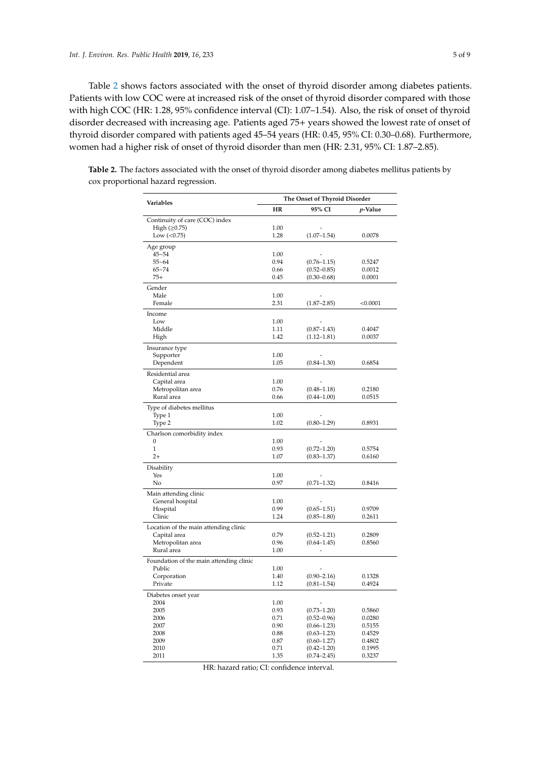Table [2](#page-4-0) shows factors associated with the onset of thyroid disorder among diabetes patients. Patients with low COC were at increased risk of the onset of thyroid disorder compared with those with high COC (HR: 1.28, 95% confidence interval (CI): 1.07–1.54). Also, the risk of onset of thyroid disorder decreased with increasing age. Patients aged 75+ years showed the lowest rate of onset of thyroid disorder compared with patients aged 45–54 years (HR: 0.45, 95% CI: 0.30–0.68). Furthermore, women had a higher risk of onset of thyroid disorder than men (HR: 2.31, 95% CI: 1.87–2.85).

|                                         | The Onset of Thyroid Disorder |                 |          |  |  |  |
|-----------------------------------------|-------------------------------|-----------------|----------|--|--|--|
| Variables                               | HR                            | 95% CI          | p-Value  |  |  |  |
| Continuity of care (COC) index          |                               |                 |          |  |  |  |
| High $(\geq 0.75)$                      | 1.00                          |                 |          |  |  |  |
| Low $(<0.75)$                           | 1.28                          | $(1.07 - 1.54)$ | 0.0078   |  |  |  |
|                                         |                               |                 |          |  |  |  |
| Age group<br>$45 - 54$                  | 1.00                          |                 |          |  |  |  |
| $55 - 64$                               | 0.94                          | $(0.76 - 1.15)$ | 0.5247   |  |  |  |
| $65 - 74$                               | 0.66                          | $(0.52 - 0.85)$ | 0.0012   |  |  |  |
| $75+$                                   | 0.45                          | $(0.30 - 0.68)$ | 0.0001   |  |  |  |
| Gender                                  |                               |                 |          |  |  |  |
| Male                                    | 1.00                          |                 |          |  |  |  |
| Female                                  | 2.31                          | $(1.87 - 2.85)$ | < 0.0001 |  |  |  |
| Income                                  |                               |                 |          |  |  |  |
| Low                                     | 1.00                          |                 |          |  |  |  |
| Middle                                  | 1.11                          | $(0.87 - 1.43)$ | 0.4047   |  |  |  |
| High                                    | 1.42                          | $(1.12 - 1.81)$ | 0.0037   |  |  |  |
|                                         |                               |                 |          |  |  |  |
| Insurance type                          | 1.00                          |                 |          |  |  |  |
| Supporter<br>Dependent                  | 1.05                          | $(0.84 - 1.30)$ | 0.6854   |  |  |  |
|                                         |                               |                 |          |  |  |  |
| Residential area                        |                               |                 |          |  |  |  |
| Capital area                            | 1.00                          |                 |          |  |  |  |
| Metropolitan area                       | 0.76                          | $(0.48 - 1.18)$ | 0.2180   |  |  |  |
| Rural area                              | 0.66                          | $(0.44 - 1.00)$ | 0.0515   |  |  |  |
| Type of diabetes mellitus               |                               |                 |          |  |  |  |
| Type 1                                  | 1.00                          |                 |          |  |  |  |
| Type 2                                  | 1.02                          | $(0.80 - 1.29)$ | 0.8931   |  |  |  |
| Charlson comorbidity index              |                               |                 |          |  |  |  |
| 0                                       | 1.00                          |                 |          |  |  |  |
| $\mathbf{1}$                            | 0.93                          | $(0.72 - 1.20)$ | 0.5754   |  |  |  |
| $2+$                                    | 1.07                          | $(0.83 - 1.37)$ | 0.6160   |  |  |  |
| Disability                              |                               |                 |          |  |  |  |
| Yes                                     | 1.00                          |                 |          |  |  |  |
| No                                      | 0.97                          | $(0.71 - 1.32)$ | 0.8416   |  |  |  |
| Main attending clinic                   |                               |                 |          |  |  |  |
| General hospital                        | 1.00                          |                 |          |  |  |  |
| Hospital                                | 0.99                          | $(0.65 - 1.51)$ | 0.9709   |  |  |  |
| Clinic                                  | 1.24                          | $(0.85 - 1.80)$ | 0.2611   |  |  |  |
| Location of the main attending clinic   |                               |                 |          |  |  |  |
| Capital area                            | 0.79                          | $(0.52 - 1.21)$ | 0.2809   |  |  |  |
| Metropolitan area                       | 0.96                          | $(0.64 - 1.45)$ | 0.8560   |  |  |  |
| Rural area                              | 1.00                          |                 |          |  |  |  |
| Foundation of the main attending clinic |                               |                 |          |  |  |  |
| Public                                  | 1.00                          |                 |          |  |  |  |
| Corporation                             | 1.40                          | $(0.90 - 2.16)$ | 0.1328   |  |  |  |
| Private                                 | 1.12                          | $(0.81 - 1.54)$ | 0.4924   |  |  |  |
| Diabetes onset year                     |                               |                 |          |  |  |  |
| 2004                                    | 1.00                          |                 |          |  |  |  |
| 2005                                    | 0.93                          | $(0.73 - 1.20)$ | 0.5860   |  |  |  |
| 2006                                    | 0.71                          | $(0.52 - 0.96)$ | 0.0280   |  |  |  |
| 2007                                    | 0.90                          | $(0.66 - 1.23)$ | 0.5155   |  |  |  |
| 2008                                    | 0.88                          | $(0.63 - 1.23)$ | 0.4529   |  |  |  |
| 2009                                    | 0.87                          | $(0.60 - 1.27)$ | 0.4802   |  |  |  |
| 2010                                    | 0.71                          | $(0.42 - 1.20)$ | 0.1995   |  |  |  |
| 2011                                    | 1.35                          | $(0.74 - 2.45)$ | 0.3237   |  |  |  |

<span id="page-4-0"></span>**Table 2.** The factors associated with the onset of thyroid disorder among diabetes mellitus patients by cox proportional hazard regression.

HR: hazard ratio; CI: confidence interval.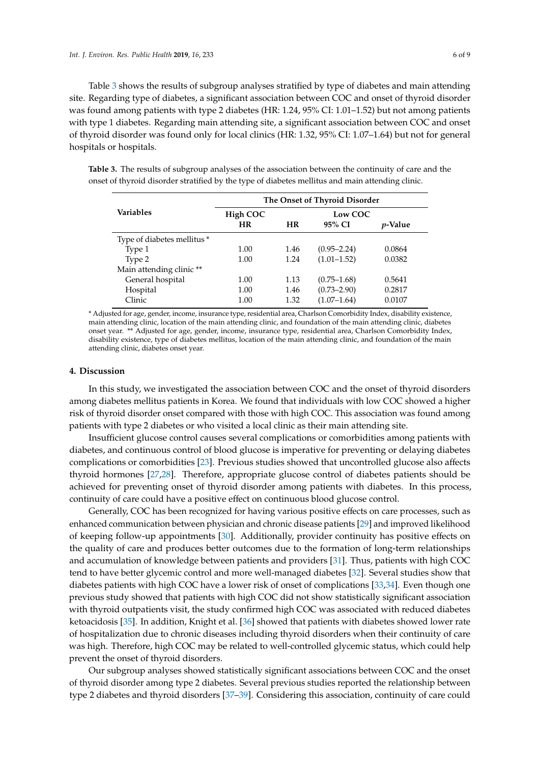Table [3](#page-5-0) shows the results of subgroup analyses stratified by type of diabetes and main attending site. Regarding type of diabetes, a significant association between COC and onset of thyroid disorder was found among patients with type 2 diabetes (HR: 1.24, 95% CI: 1.01–1.52) but not among patients with type 1 diabetes. Regarding main attending site, a significant association between COC and onset of thyroid disorder was found only for local clinics (HR: 1.32, 95% CI: 1.07–1.64) but not for general hospitals or hospitals.

<span id="page-5-0"></span>**Table 3.** The results of subgroup analyses of the association between the continuity of care and the onset of thyroid disorder stratified by the type of diabetes mellitus and main attending clinic.

|                             | The Onset of Thyroid Disorder |           |                 |                 |  |  |  |
|-----------------------------|-------------------------------|-----------|-----------------|-----------------|--|--|--|
| <b>Variables</b>            | High COC                      |           | Low COC         |                 |  |  |  |
|                             | <b>HR</b>                     | <b>HR</b> | 95% CI          | <i>v</i> -Value |  |  |  |
| Type of diabetes mellitus * |                               |           |                 |                 |  |  |  |
| Type 1                      | 1.00                          | 1.46      | $(0.95 - 2.24)$ | 0.0864          |  |  |  |
| Type 2                      | 1.00                          | 1.24      | $(1.01 - 1.52)$ | 0.0382          |  |  |  |
| Main attending clinic **    |                               |           |                 |                 |  |  |  |
| General hospital            | 1.00                          | 1.13      | $(0.75 - 1.68)$ | 0.5641          |  |  |  |
| Hospital                    | 1.00                          | 1.46      | $(0.73 - 2.90)$ | 0.2817          |  |  |  |
| Clinic                      | 1.00                          | 1.32      | $(1.07 - 1.64)$ | 0.0107          |  |  |  |

\* Adjusted for age, gender, income, insurance type, residential area, Charlson Comorbidity Index, disability existence, main attending clinic, location of the main attending clinic, and foundation of the main attending clinic, diabetes onset year. \*\* Adjusted for age, gender, income, insurance type, residential area, Charlson Comorbidity Index, disability existence, type of diabetes mellitus, location of the main attending clinic, and foundation of the main attending clinic, diabetes onset year.

#### **4. Discussion**

In this study, we investigated the association between COC and the onset of thyroid disorders among diabetes mellitus patients in Korea. We found that individuals with low COC showed a higher risk of thyroid disorder onset compared with those with high COC. This association was found among patients with type 2 diabetes or who visited a local clinic as their main attending site.

Insufficient glucose control causes several complications or comorbidities among patients with diabetes, and continuous control of blood glucose is imperative for preventing or delaying diabetes complications or comorbidities [\[23\]](#page-7-16). Previous studies showed that uncontrolled glucose also affects thyroid hormones [\[27](#page-7-20)[,28\]](#page-7-21). Therefore, appropriate glucose control of diabetes patients should be achieved for preventing onset of thyroid disorder among patients with diabetes. In this process, continuity of care could have a positive effect on continuous blood glucose control.

Generally, COC has been recognized for having various positive effects on care processes, such as enhanced communication between physician and chronic disease patients [\[29\]](#page-7-22) and improved likelihood of keeping follow-up appointments [\[30\]](#page-7-23). Additionally, provider continuity has positive effects on the quality of care and produces better outcomes due to the formation of long-term relationships and accumulation of knowledge between patients and providers [\[31\]](#page-7-24). Thus, patients with high COC tend to have better glycemic control and more well-managed diabetes [\[32\]](#page-7-25). Several studies show that diabetes patients with high COC have a lower risk of onset of complications [\[33](#page-8-0)[,34\]](#page-8-1). Even though one previous study showed that patients with high COC did not show statistically significant association with thyroid outpatients visit, the study confirmed high COC was associated with reduced diabetes ketoacidosis [\[35\]](#page-8-2). In addition, Knight et al. [\[36\]](#page-8-3) showed that patients with diabetes showed lower rate of hospitalization due to chronic diseases including thyroid disorders when their continuity of care was high. Therefore, high COC may be related to well-controlled glycemic status, which could help prevent the onset of thyroid disorders.

Our subgroup analyses showed statistically significant associations between COC and the onset of thyroid disorder among type 2 diabetes. Several previous studies reported the relationship between type 2 diabetes and thyroid disorders [\[37–](#page-8-4)[39\]](#page-8-5). Considering this association, continuity of care could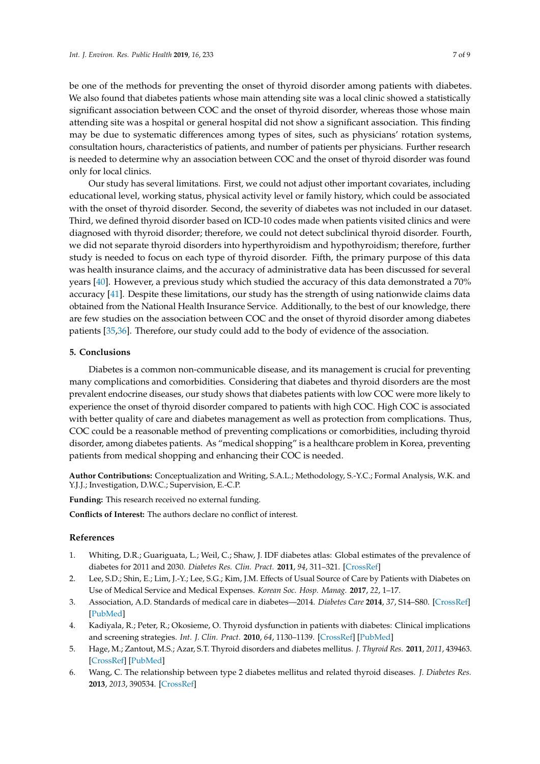be one of the methods for preventing the onset of thyroid disorder among patients with diabetes. We also found that diabetes patients whose main attending site was a local clinic showed a statistically significant association between COC and the onset of thyroid disorder, whereas those whose main attending site was a hospital or general hospital did not show a significant association. This finding may be due to systematic differences among types of sites, such as physicians' rotation systems, consultation hours, characteristics of patients, and number of patients per physicians. Further research is needed to determine why an association between COC and the onset of thyroid disorder was found only for local clinics.

Our study has several limitations. First, we could not adjust other important covariates, including educational level, working status, physical activity level or family history, which could be associated with the onset of thyroid disorder. Second, the severity of diabetes was not included in our dataset. Third, we defined thyroid disorder based on ICD-10 codes made when patients visited clinics and were diagnosed with thyroid disorder; therefore, we could not detect subclinical thyroid disorder. Fourth, we did not separate thyroid disorders into hyperthyroidism and hypothyroidism; therefore, further study is needed to focus on each type of thyroid disorder. Fifth, the primary purpose of this data was health insurance claims, and the accuracy of administrative data has been discussed for several years [\[40\]](#page-8-6). However, a previous study which studied the accuracy of this data demonstrated a 70% accuracy [\[41\]](#page-8-7). Despite these limitations, our study has the strength of using nationwide claims data obtained from the National Health Insurance Service. Additionally, to the best of our knowledge, there are few studies on the association between COC and the onset of thyroid disorder among diabetes patients [\[35,](#page-8-2)[36\]](#page-8-3). Therefore, our study could add to the body of evidence of the association.

### **5. Conclusions**

Diabetes is a common non-communicable disease, and its management is crucial for preventing many complications and comorbidities. Considering that diabetes and thyroid disorders are the most prevalent endocrine diseases, our study shows that diabetes patients with low COC were more likely to experience the onset of thyroid disorder compared to patients with high COC. High COC is associated with better quality of care and diabetes management as well as protection from complications. Thus, COC could be a reasonable method of preventing complications or comorbidities, including thyroid disorder, among diabetes patients. As "medical shopping" is a healthcare problem in Korea, preventing patients from medical shopping and enhancing their COC is needed.

**Author Contributions:** Conceptualization and Writing, S.A.L.; Methodology, S.-Y.C.; Formal Analysis, W.K. and Y.J.J.; Investigation, D.W.C.; Supervision, E.-C.P.

**Funding:** This research received no external funding.

**Conflicts of Interest:** The authors declare no conflict of interest.

#### **References**

- <span id="page-6-0"></span>1. Whiting, D.R.; Guariguata, L.; Weil, C.; Shaw, J. IDF diabetes atlas: Global estimates of the prevalence of diabetes for 2011 and 2030. *Diabetes Res. Clin. Pract.* **2011**, *94*, 311–321. [\[CrossRef\]](http://dx.doi.org/10.1016/j.diabres.2011.10.029)
- <span id="page-6-1"></span>2. Lee, S.D.; Shin, E.; Lim, J.-Y.; Lee, S.G.; Kim, J.M. Effects of Usual Source of Care by Patients with Diabetes on Use of Medical Service and Medical Expenses. *Korean Soc. Hosp. Manag.* **2017**, *22*, 1–17.
- <span id="page-6-2"></span>3. Association, A.D. Standards of medical care in diabetes—2014. *Diabetes Care* **2014**, *37*, S14–S80. [\[CrossRef\]](http://dx.doi.org/10.2337/dc14-S014) [\[PubMed\]](http://www.ncbi.nlm.nih.gov/pubmed/24357209)
- <span id="page-6-3"></span>4. Kadiyala, R.; Peter, R.; Okosieme, O. Thyroid dysfunction in patients with diabetes: Clinical implications and screening strategies. *Int. J. Clin. Pract.* **2010**, *64*, 1130–1139. [\[CrossRef\]](http://dx.doi.org/10.1111/j.1742-1241.2010.02376.x) [\[PubMed\]](http://www.ncbi.nlm.nih.gov/pubmed/20642711)
- <span id="page-6-4"></span>5. Hage, M.; Zantout, M.S.; Azar, S.T. Thyroid disorders and diabetes mellitus. *J. Thyroid Res.* **2011**, *2011*, 439463. [\[CrossRef\]](http://dx.doi.org/10.4061/2011/439463) [\[PubMed\]](http://www.ncbi.nlm.nih.gov/pubmed/21785689)
- <span id="page-6-5"></span>6. Wang, C. The relationship between type 2 diabetes mellitus and related thyroid diseases. *J. Diabetes Res.* **2013**, *2013*, 390534. [\[CrossRef\]](http://dx.doi.org/10.1155/2013/390534)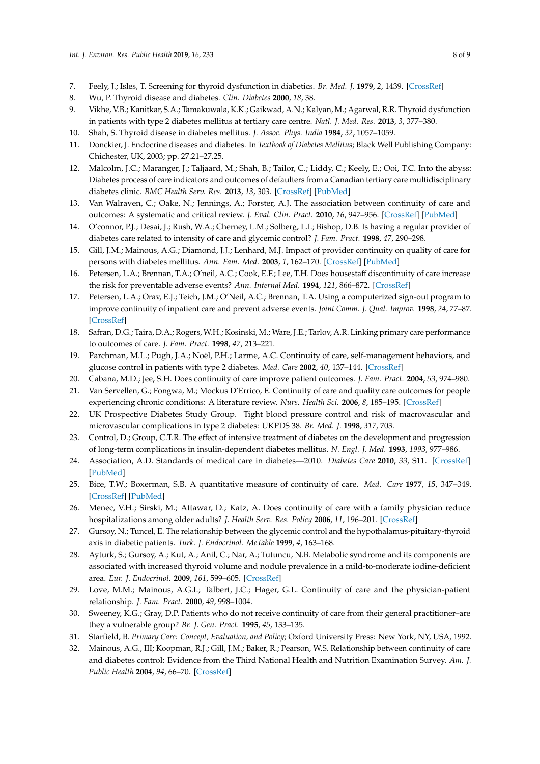- <span id="page-7-0"></span>7. Feely, J.; Isles, T. Screening for thyroid dysfunction in diabetics. *Br. Med. J.* **1979**, *2*, 1439. [\[CrossRef\]](http://dx.doi.org/10.1136/bmj.2.6202.1439-b)
- <span id="page-7-1"></span>8. Wu, P. Thyroid disease and diabetes. *Clin. Diabetes* **2000**, *18*, 38.
- <span id="page-7-2"></span>9. Vikhe, V.B.; Kanitkar, S.A.; Tamakuwala, K.K.; Gaikwad, A.N.; Kalyan, M.; Agarwal, R.R. Thyroid dysfunction in patients with type 2 diabetes mellitus at tertiary care centre. *Natl. J. Med. Res.* **2013**, *3*, 377–380.
- <span id="page-7-3"></span>10. Shah, S. Thyroid disease in diabetes mellitus. *J. Assoc. Phys. India* **1984**, *32*, 1057–1059.
- <span id="page-7-4"></span>11. Donckier, J. Endocrine diseases and diabetes. In *Textbook of Diabetes Mellitus*; Black Well Publishing Company: Chichester, UK, 2003; pp. 27.21–27.25.
- <span id="page-7-5"></span>12. Malcolm, J.C.; Maranger, J.; Taljaard, M.; Shah, B.; Tailor, C.; Liddy, C.; Keely, E.; Ooi, T.C. Into the abyss: Diabetes process of care indicators and outcomes of defaulters from a Canadian tertiary care multidisciplinary diabetes clinic. *BMC Health Serv. Res.* **2013**, *13*, 303. [\[CrossRef\]](http://dx.doi.org/10.1186/1472-6963-13-303) [\[PubMed\]](http://www.ncbi.nlm.nih.gov/pubmed/23938105)
- <span id="page-7-6"></span>13. Van Walraven, C.; Oake, N.; Jennings, A.; Forster, A.J. The association between continuity of care and outcomes: A systematic and critical review. *J. Eval. Clin. Pract.* **2010**, *16*, 947–956. [\[CrossRef\]](http://dx.doi.org/10.1111/j.1365-2753.2009.01235.x) [\[PubMed\]](http://www.ncbi.nlm.nih.gov/pubmed/20553366)
- <span id="page-7-7"></span>14. O'connor, P.J.; Desai, J.; Rush, W.A.; Cherney, L.M.; Solberg, L.I.; Bishop, D.B. Is having a regular provider of diabetes care related to intensity of care and glycemic control? *J. Fam. Pract.* **1998**, *47*, 290–298.
- <span id="page-7-8"></span>15. Gill, J.M.; Mainous, A.G.; Diamond, J.J.; Lenhard, M.J. Impact of provider continuity on quality of care for persons with diabetes mellitus. *Ann. Fam. Med.* **2003**, *1*, 162–170. [\[CrossRef\]](http://dx.doi.org/10.1370/afm.22) [\[PubMed\]](http://www.ncbi.nlm.nih.gov/pubmed/15043378)
- <span id="page-7-9"></span>16. Petersen, L.A.; Brennan, T.A.; O'neil, A.C.; Cook, E.F.; Lee, T.H. Does housestaff discontinuity of care increase the risk for preventable adverse events? *Ann. Internal Med.* **1994**, *121*, 866–872. [\[CrossRef\]](http://dx.doi.org/10.7326/0003-4819-121-11-199412010-00008)
- <span id="page-7-10"></span>17. Petersen, L.A.; Orav, E.J.; Teich, J.M.; O'Neil, A.C.; Brennan, T.A. Using a computerized sign-out program to improve continuity of inpatient care and prevent adverse events. *Joint Comm. J. Qual. Improv.* **1998**, *24*, 77–87. [\[CrossRef\]](http://dx.doi.org/10.1016/S1070-3241(16)30363-7)
- <span id="page-7-11"></span>18. Safran, D.G.; Taira, D.A.; Rogers, W.H.; Kosinski, M.; Ware, J.E.; Tarlov, A.R. Linking primary care performance to outcomes of care. *J. Fam. Pract.* **1998**, *47*, 213–221.
- <span id="page-7-12"></span>19. Parchman, M.L.; Pugh, J.A.; Noël, P.H.; Larme, A.C. Continuity of care, self-management behaviors, and glucose control in patients with type 2 diabetes. *Med. Care* **2002**, *40*, 137–144. [\[CrossRef\]](http://dx.doi.org/10.1097/00005650-200202000-00008)
- <span id="page-7-13"></span>20. Cabana, M.D.; Jee, S.H. Does continuity of care improve patient outcomes. *J. Fam. Pract.* **2004**, *53*, 974–980.
- <span id="page-7-14"></span>21. Van Servellen, G.; Fongwa, M.; Mockus D'Errico, E. Continuity of care and quality care outcomes for people experiencing chronic conditions: A literature review. *Nurs. Health Sci.* **2006**, *8*, 185–195. [\[CrossRef\]](http://dx.doi.org/10.1111/j.1442-2018.2006.00278.x)
- <span id="page-7-15"></span>22. UK Prospective Diabetes Study Group. Tight blood pressure control and risk of macrovascular and microvascular complications in type 2 diabetes: UKPDS 38. *Br. Med. J.* **1998**, *317*, 703.
- <span id="page-7-16"></span>23. Control, D.; Group, C.T.R. The effect of intensive treatment of diabetes on the development and progression of long-term complications in insulin-dependent diabetes mellitus. *N. Engl. J. Med.* **1993**, *1993*, 977–986.
- <span id="page-7-17"></span>24. Association, A.D. Standards of medical care in diabetes—2010. *Diabetes Care* **2010**, *33*, S11. [\[CrossRef\]](http://dx.doi.org/10.2337/dc10-S011) [\[PubMed\]](http://www.ncbi.nlm.nih.gov/pubmed/20042772)
- <span id="page-7-18"></span>25. Bice, T.W.; Boxerman, S.B. A quantitative measure of continuity of care. *Med. Care* **1977**, *15*, 347–349. [\[CrossRef\]](http://dx.doi.org/10.1097/00005650-197704000-00010) [\[PubMed\]](http://www.ncbi.nlm.nih.gov/pubmed/859364)
- <span id="page-7-19"></span>26. Menec, V.H.; Sirski, M.; Attawar, D.; Katz, A. Does continuity of care with a family physician reduce hospitalizations among older adults? *J. Health Serv. Res. Policy* **2006**, *11*, 196–201. [\[CrossRef\]](http://dx.doi.org/10.1258/135581906778476562)
- <span id="page-7-20"></span>27. Gursoy, N.; Tuncel, E. The relationship between the glycemic control and the hypothalamus-pituitary-thyroid axis in diabetic patients. *Turk. J. Endocrinol. MeTable* **1999**, *4*, 163–168.
- <span id="page-7-21"></span>28. Ayturk, S.; Gursoy, A.; Kut, A.; Anil, C.; Nar, A.; Tutuncu, N.B. Metabolic syndrome and its components are associated with increased thyroid volume and nodule prevalence in a mild-to-moderate iodine-deficient area. *Eur. J. Endocrinol.* **2009**, *161*, 599–605. [\[CrossRef\]](http://dx.doi.org/10.1530/EJE-09-0410)
- <span id="page-7-22"></span>29. Love, M.M.; Mainous, A.G.I.; Talbert, J.C.; Hager, G.L. Continuity of care and the physician-patient relationship. *J. Fam. Pract.* **2000**, *49*, 998–1004.
- <span id="page-7-23"></span>30. Sweeney, K.G.; Gray, D.P. Patients who do not receive continuity of care from their general practitioner–are they a vulnerable group? *Br. J. Gen. Pract.* **1995**, *45*, 133–135.
- <span id="page-7-24"></span>31. Starfield, B. *Primary Care: Concept, Evaluation, and Policy*; Oxford University Press: New York, NY, USA, 1992.
- <span id="page-7-25"></span>32. Mainous, A.G., III; Koopman, R.J.; Gill, J.M.; Baker, R.; Pearson, W.S. Relationship between continuity of care and diabetes control: Evidence from the Third National Health and Nutrition Examination Survey. *Am. J. Public Health* **2004**, *94*, 66–70. [\[CrossRef\]](http://dx.doi.org/10.2105/AJPH.94.1.66)